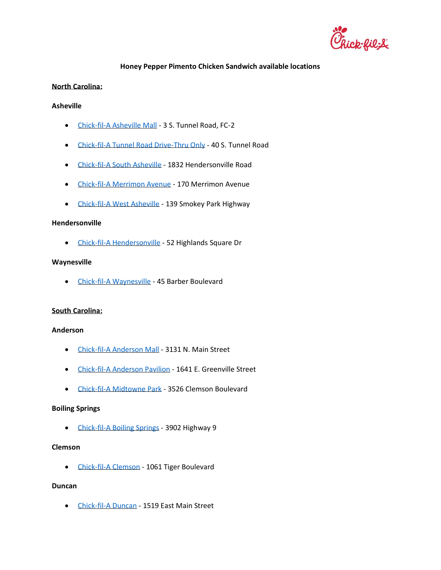

# **Honey Pepper Pimento Chicken Sandwich available locations**

### **North Carolina:**

### **Asheville**

- [Chick-fil-A Asheville Mall](https://www.chick-fil-a.com/locations/nc/asheville-mall) 3 S. Tunnel Road, FC-2
- [Chick-fil-A Tunnel Road Drive-Thru Only](https://www.chick-fil-a.com/locations/nc/tunnel-road-drive-thru-only) 40 S. Tunnel Road
- [Chick-fil-A South Asheville](https://www.chick-fil-a.com/locations/nc/south-asheville) 1832 Hendersonville Road
- [Chick-fil-A Merrimon Avenue](https://www.chick-fil-a.com/locations/nc/merrimon-avenue) 170 Merrimon Avenue
- [Chick-fil-A West Asheville](https://www.chick-fil-a.com/locations/nc/west-asheville) 139 Smokey Park Highway

#### **Hendersonville**

• [Chick-fil-A Hendersonville](https://www.chick-fil-a.com/locations/nc/hendersonville) - 52 Highlands Square Dr

### **Waynesville**

• [Chick-fil-A Waynesville](https://www.chick-fil-a.com/locations/nc/waynesville) - 45 Barber Boulevard

### **South Carolina:**

### **Anderson**

- [Chick-fil-A Anderson Mall](https://www.chick-fil-a.com/locations/sc/anderson-mall) 3131 N. Main Street
- [Chick-fil-A Anderson Pavilion](https://www.chick-fil-a.com/locations/sc/anderson-pavilion) 1641 E. Greenville Street
- [Chick-fil-A Midtowne Park](https://www.chick-fil-a.com/locations/sc/midtowne-park) 3526 Clemson Boulevard

#### **Boiling Springs**

• [Chick-fil-A Boiling Springs](https://www.chick-fil-a.com/locations/sc/boiling-springs) - 3902 Highway 9

## **Clemson**

• [Chick-fil-A Clemson](https://www.chick-fil-a.com/locations/sc/clemson) - 1061 Tiger Boulevard

#### **Duncan**

• [Chick-fil-A Duncan](https://www.chick-fil-a.com/locations/sc/duncan) - 1519 East Main Street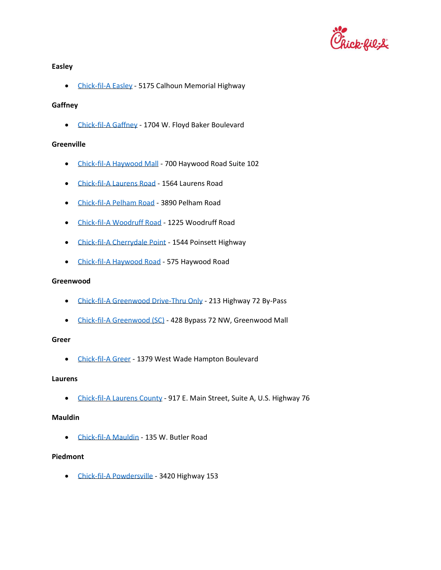

## **Easley**

• [Chick-fil-A Easley](https://www.chick-fil-a.com/locations/sc/easley) - 5175 Calhoun Memorial Highway

## **Gaffney**

• [Chick-fil-A Gaffney](https://www.chick-fil-a.com/locations/sc/gaffney) - 1704 W. Floyd Baker Boulevard

## **Greenville**

- [Chick-fil-A Haywood Mall](https://www.chick-fil-a.com/locations/sc/haywood-mall) 700 Haywood Road Suite 102
- [Chick-fil-A Laurens Road](https://www.chick-fil-a.com/locations/sc/laurens-road) 1564 Laurens Road
- [Chick-fil-A Pelham Road](https://www.chick-fil-a.com/locations/sc/pelham-road) 3890 Pelham Road
- [Chick-fil-A Woodruff Road](https://www.chick-fil-a.com/locations/sc/woodruff-road) 1225 Woodruff Road
- [Chick-fil-A Cherrydale Point](https://www.chick-fil-a.com/locations/sc/cherrydale-point) 1544 Poinsett Highway
- [Chick-fil-A Haywood Road](https://www.chick-fil-a.com/locations/sc/haywood-road) 575 Haywood Road

### **Greenwood**

- [Chick-fil-A Greenwood Drive-Thru Only](https://www.chick-fil-a.com/locations/sc/greenwood-drive-thru-only) 213 Highway 72 By-Pass
- [Chick-fil-A Greenwood \(SC\)](https://www.chick-fil-a.com/locations/sc/greenwood-sc) 428 Bypass 72 NW, Greenwood Mall

#### **Greer**

• [Chick-fil-A Greer](https://www.chick-fil-a.com/locations/sc/greer) - 1379 West Wade Hampton Boulevard

#### **Laurens**

• [Chick-fil-A Laurens County](https://www.chick-fil-a.com/locations/sc/laurens-county) - 917 E. Main Street, Suite A, U.S. Highway 76

## **Mauldin**

• [Chick-fil-A Mauldin](https://www.chick-fil-a.com/locations/sc/mauldin) - 135 W. Butler Road

## **Piedmont**

• [Chick-fil-A Powdersville](https://www.chick-fil-a.com/locations/sc/powdersville) - 3420 Highway 153